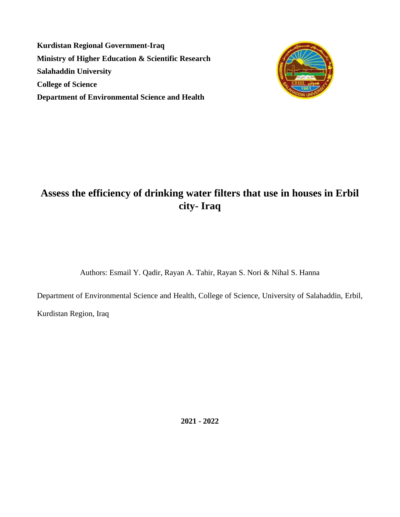**Kurdistan Regional Government-Iraq Ministry of Higher Education & Scientific Research Salahaddin University College of Science Department of Environmental Science and Health**



# **Assess the efficiency of drinking water filters that use in houses in Erbil city- Iraq**

Authors: Esmail Y. Qadir, Rayan A. Tahir, Rayan S. Nori & Nihal S. Hanna

Department of Environmental Science and Health, College of Science, University of Salahaddin, Erbil,

Kurdistan Region, Iraq

**2021 - 2022**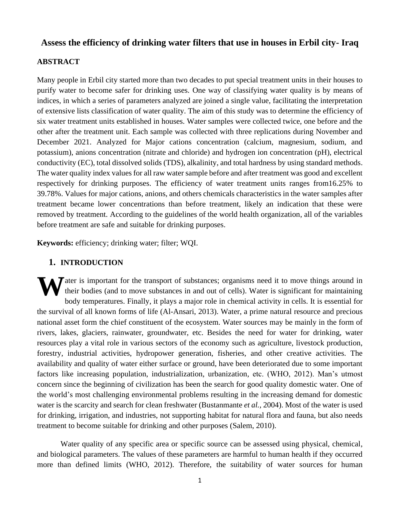# **Assess the efficiency of drinking water filters that use in houses in Erbil city- Iraq**

# **ABSTRACT**

Many people in Erbil city started more than two decades to put special treatment units in their houses to purify water to become safer for drinking uses. One way of classifying water quality is by means of indices, in which a series of parameters analyzed are joined a single value, facilitating the interpretation of extensive lists classification of water quality. The aim of this study was to determine the efficiency of six water treatment units established in houses. Water samples were collected twice, one before and the other after the treatment unit. Each sample was collected with three replications during November and December 2021. Analyzed for Major cations concentration (calcium, magnesium, sodium, and potassium), anions concentration (nitrate and chloride) and hydrogen ion concentration (pH), electrical conductivity (EC), total dissolved solids (TDS), alkalinity, and total hardness by using standard methods. The water quality index values for all raw water sample before and after treatment was good and excellent respectively for drinking purposes. The efficiency of water treatment units ranges from16.25% to 39.78%. Values for major cations, anions, and others chemicals characteristics in the water samples after treatment became lower concentrations than before treatment, likely an indication that these were removed by treatment. According to the guidelines of the world health organization, all of the variables before treatment are safe and suitable for drinking purposes.

**Keywords:** efficiency; drinking water; filter; WQI.

# **1. INTRODUCTION**

The ater is important for the transport of substances; organisms need it to move things around in their bodies (and to move substances in and out of cells). Water is significant for maintaining had terms are linearly in th their bodies (and to move substances in and out of cells). Water is significant for maintaining body temperatures. Finally, it plays a major role in chemical activity in cells. It is essential for the survival of all known forms of life (Al-Ansari, 2013). Water, a prime natural resource and precious national asset form the chief constituent of the ecosystem. Water sources may be mainly in the form of rivers, lakes, glaciers, rainwater, groundwater, etc. Besides the need for water for drinking, water resources play a vital role in various sectors of the economy such as agriculture, livestock production, forestry, industrial activities, hydropower generation, fisheries, and other creative activities. The availability and quality of water either surface or ground, have been deteriorated due to some important factors like increasing population, industrialization, urbanization, etc. (WHO, 2012). Man's utmost concern since the beginning of civilization has been the search for good quality domestic water. One of the world's most challenging environmental problems resulting in the increasing demand for domestic water is the scarcity and search for clean freshwater (Bustanmante *et al.,* 2004). Most of the water is used for drinking, irrigation, and industries, not supporting habitat for natural flora and fauna, but also needs treatment to become suitable for drinking and other purposes (Salem, 2010).

Water quality of any specific area or specific source can be assessed using physical, chemical, and biological parameters. The values of these parameters are harmful to human health if they occurred more than defined limits (WHO, 2012). Therefore, the suitability of water sources for human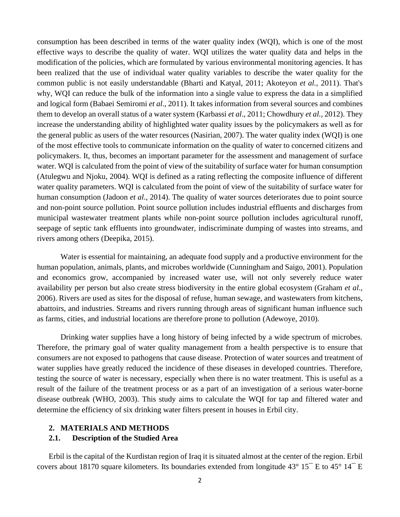consumption has been described in terms of the water quality index (WQI), which is one of the most effective ways to describe the quality of water. WQI utilizes the water quality data and helps in the modification of the policies, which are formulated by various environmental monitoring agencies. It has been realized that the use of individual water quality variables to describe the water quality for the common public is not easily understandable (Bharti and Katyal, 2011; Akoteyon *et al.,* 2011). That's why, WQI can reduce the bulk of the information into a single value to express the data in a simplified and logical form (Babaei Semiromi *et al*., 2011). It takes information from several sources and combines them to develop an overall status of a water system (Karbassi *et al*., 2011; Chowdhury *et al.,* 2012). They increase the understanding ability of highlighted water quality issues by the policymakers as well as for the general public as users of the water resources (Nasirian, 2007). The water quality index (WQI) is one of the most effective tools to communicate information on the quality of water to concerned citizens and policymakers. It, thus, becomes an important parameter for the assessment and management of surface water. WQI is calculated from the point of view of the suitability of surface water for human consumption (Atulegwu and Njoku, 2004). WQI is defined as a rating reflecting the composite influence of different water quality parameters. WQI is calculated from the point of view of the suitability of surface water for human consumption (Jadoon *et al*., 2014). The quality of water sources deteriorates due to point source and non-point source pollution. Point source pollution includes industrial effluents and discharges from municipal wastewater treatment plants while non-point source pollution includes agricultural runoff, seepage of septic tank effluents into groundwater, indiscriminate dumping of wastes into streams, and rivers among others (Deepika, 2015).

Water is essential for maintaining, an adequate food supply and a productive environment for the human population, animals, plants, and microbes worldwide (Cunningham and Saigo, 2001). Population and economics grow, accompanied by increased water use, will not only severely reduce water availability per person but also create stress biodiversity in the entire global ecosystem (Graham *et al*., 2006). Rivers are used as sites for the disposal of refuse, human sewage, and wastewaters from kitchens, abattoirs, and industries. Streams and rivers running through areas of significant human influence such as farms, cities, and industrial locations are therefore prone to pollution (Adewoye, 2010).

Drinking water supplies have a long history of being infected by a wide spectrum of microbes. Therefore, the primary goal of water quality management from a health perspective is to ensure that consumers are not exposed to pathogens that cause disease. Protection of water sources and treatment of water supplies have greatly reduced the incidence of these diseases in developed countries. Therefore, testing the source of water is necessary, especially when there is no water treatment. This is useful as a result of the failure of the treatment process or as a part of an investigation of a serious water-borne disease outbreak (WHO, 2003). This study aims to calculate the WQI for tap and filtered water and determine the efficiency of six drinking water filters present in houses in Erbil city.

## **2. MATERIALS AND METHODS**

# **2.1. Description of the Studied Area**

Erbil is the capital of the Kurdistan region of Iraq it is situated almost at the center of the region. Erbil covers about 18170 square kilometers. Its boundaries extended from longitude  $43^{\circ}$  15 $^-$  E to  $45^{\circ}$  14 $^-$  E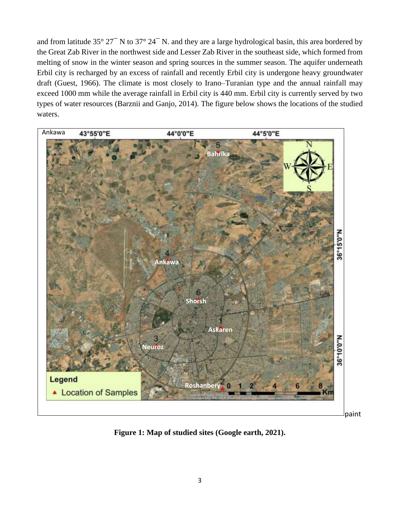and from latitude 35° 27<sup> $-$ </sup> N to 37° 24<sup> $-$ </sup> N. and they are a large hydrological basin, this area bordered by the Great Zab River in the northwest side and Lesser Zab River in the southeast side, which formed from melting of snow in the winter season and spring sources in the summer season. The aquifer underneath Erbil city is recharged by an excess of rainfall and recently Erbil city is undergone heavy groundwater draft (Guest, 1966). The climate is most closely to Irano–Turanian type and the annual rainfall may exceed 1000 mm while the average rainfall in Erbil city is 440 mm. Erbil city is currently served by two types of water resources (Barznii and Ganjo, 2014). The figure below shows the locations of the studied waters.



**Figure 1: Map of studied sites (Google earth, 2021).**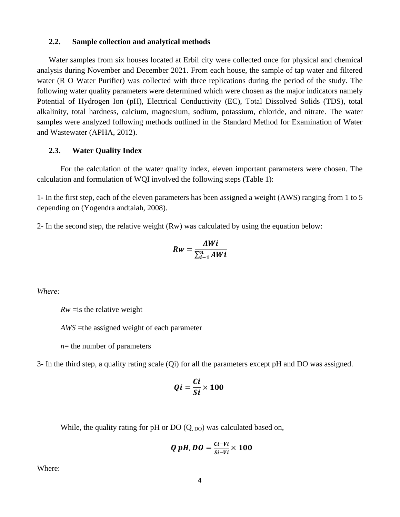#### **2.2. Sample collection and analytical methods**

Water samples from six houses located at Erbil city were collected once for physical and chemical analysis during November and December 2021. From each house, the sample of tap water and filtered water (R O Water Purifier) was collected with three replications during the period of the study. The following water quality parameters were determined which were chosen as the major indicators namely Potential of Hydrogen Ion (pH), Electrical Conductivity (EC), Total Dissolved Solids (TDS), total alkalinity, total hardness, calcium, magnesium, sodium, potassium, chloride, and nitrate. The water samples were analyzed following methods outlined in the Standard Method for Examination of Water and Wastewater (APHA, 2012).

#### **2.3. Water Quality Index**

For the calculation of the water quality index, eleven important parameters were chosen. The calculation and formulation of WQI involved the following steps (Table 1):

1- In the first step, each of the eleven parameters has been assigned a weight (AWS) ranging from 1 to 5 depending on (Yogendra andtaiah, 2008).

2- In the second step, the relative weight (Rw) was calculated by using the equation below:

$$
Rw = \frac{AWi}{\sum_{i=1}^{n} AWi}
$$

*Where:* 

 $Rw =$ is the relative weight

*AWS* =the assigned weight of each parameter

*n*= the number of parameters

3- In the third step, a quality rating scale (Qi) for all the parameters except pH and DO was assigned.

$$
Qi = \frac{Ci}{Si} \times 100
$$

While, the quality rating for pH or  $DO(Q_{, DO})$  was calculated based on,

$$
Q\ pH, DO=\frac{Ci-Vi}{Si-Vi}\times 100
$$

Where: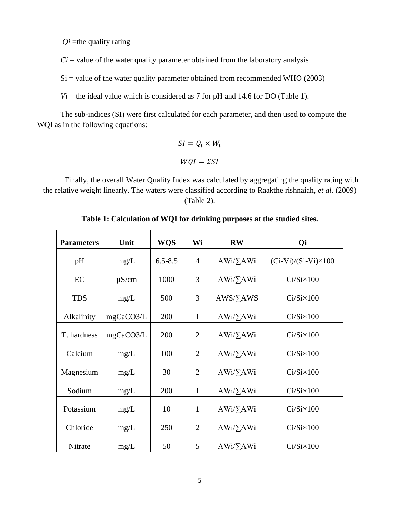$Qi =$ the quality rating

 $Ci$  = value of the water quality parameter obtained from the laboratory analysis

 $Si$  = value of the water quality parameter obtained from recommended WHO (2003)

 $Vi$  = the ideal value which is considered as 7 for pH and 14.6 for DO (Table 1).

The sub-indices (SI) were first calculated for each parameter, and then used to compute the WQI as in the following equations:

$$
SI = Q_i \times W_i
$$

$$
WQI = \Sigma SI
$$

Finally, the overall Water Quality Index was calculated by aggregating the quality rating with the relative weight linearly. The waters were classified according to Raakthe rishnaiah, *et al.* (2009) (Table 2).

| <b>Parameters</b> | Unit       | <b>WQS</b>  | Wi             | <b>RW</b>        | Qi                         |
|-------------------|------------|-------------|----------------|------------------|----------------------------|
| pH                | mg/L       | $6.5 - 8.5$ | $\overline{4}$ | $AWi/\sum AWi$   | $(Ci-Vi)/(Si-Vi)\times100$ |
| EC                | $\mu$ S/cm | 1000        | 3              | $AWi/\sum AWi$   | $Ci/Si\times100$           |
| <b>TDS</b>        | mg/L       | 500         | 3              | $AWS/\Sigma AWS$ | $Ci/Si\times100$           |
| Alkalinity        | mgCaCO3/L  | 200         | $\mathbf{1}$   | $AWi/\sum AWi$   | $Ci/Si\times100$           |
| T. hardness       | mgCaCO3/L  | 200         | $\overline{2}$ | $AWi/\sum AWi$   | $Ci/Si\times100$           |
| Calcium           | mg/L       | 100         | $\overline{2}$ | $AWi/\sum AWi$   | $Ci/Si\times100$           |
| Magnesium         | mg/L       | 30          | $\overline{2}$ | $AWi/\sum AWi$   | $Ci/Si\times100$           |
| Sodium            | mg/L       | 200         | $\mathbf{1}$   | AWi/ <i>YAWi</i> | $Ci/Si\times100$           |
| Potassium         | mg/L       | 10          | $\mathbf{1}$   | AWi/ <i>YAWi</i> | $Ci/Si\times100$           |
| Chloride          | mg/L       | 250         | $\overline{2}$ | $AWi/\sum AWi$   | $Ci/Si\times100$           |
| Nitrate           | mg/L       | 50          | 5              | $AWi/\sum AWi$   | $Ci/Si\times100$           |

**Table 1: Calculation of WQI for drinking purposes at the studied sites.**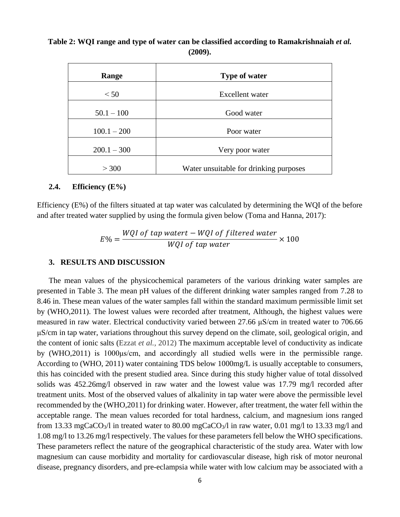**Table 2: WQI range and type of water can be classified according to Ramakrishnaiah** *et al.* **(2009).**

| Range         | <b>Type of water</b>                   |  |  |
|---------------|----------------------------------------|--|--|
| < 50          | <b>Excellent</b> water                 |  |  |
| $50.1 - 100$  | Good water                             |  |  |
| $100.1 - 200$ | Poor water                             |  |  |
| $200.1 - 300$ | Very poor water                        |  |  |
| > 300         | Water unsuitable for drinking purposes |  |  |

# **2.4. Efficiency (E%)**

Efficiency (E%) of the filters situated at tap water was calculated by determining the WQI of the before and after treated water supplied by using the formula given below (Toma and Hanna, 2017):

$$
E\% = \frac{WQI\ of\ tap\ watert - WQI\ of\ filtered\ water}{WQI\ of\ tap\ water} \times 100
$$

#### **3. RESULTS AND DISCUSSION**

The mean values of the physicochemical parameters of the various drinking water samples are presented in Table 3. The mean pH values of the different drinking water samples ranged from 7.28 to 8.46 in. These mean values of the water samples fall within the standard maximum permissible limit set by (WHO,2011). The lowest values were recorded after treatment, Although, the highest values were measured in raw water. Electrical conductivity varied between 27.66 μS/cm in treated water to 706.66 μS/cm in tap water, variations throughout this survey depend on the climate, soil, geological origin, and the content of ionic salts (Ezzat *et al.,* 2012) The maximum acceptable level of conductivity as indicate by (WHO,2011) is 1000μs/cm, and accordingly all studied wells were in the permissible range. According to (WHO, 2011) water containing TDS below 1000mg/L is usually acceptable to consumers, this has coincided with the present studied area. Since during this study higher value of total dissolved solids was 452.26mg/l observed in raw water and the lowest value was 17.79 mg/l recorded after treatment units. Most of the observed values of alkalinity in tap water were above the permissible level recommended by the (WHO,2011) for drinking water. However, after treatment, the water fell within the acceptable range. The mean values recorded for total hardness, calcium, and magnesium ions ranged from 13.33 mgCaCO<sub>3</sub>/l in treated water to 80.00 mgCaCO<sub>3</sub>/l in raw water, 0.01 mg/l to 13.33 mg/l and 1.08 mg/l to 13.26 mg/l respectively. The values for these parameters fell below the WHO specifications. These parameters reflect the nature of the geographical characteristic of the study area. Water with low magnesium can cause morbidity and mortality for cardiovascular disease, high risk of motor neuronal disease, pregnancy disorders, and pre-eclampsia while water with low calcium may be associated with a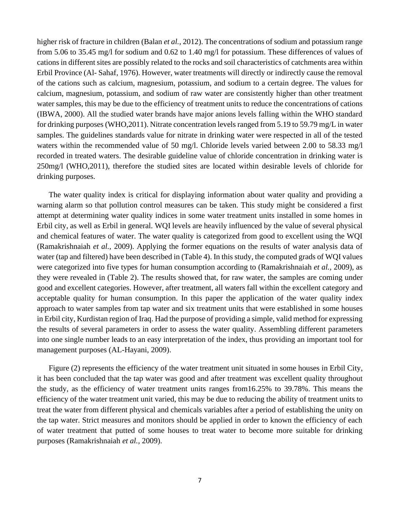higher risk of fracture in children (Balan *et al.,* 2012). The concentrations of sodium and potassium range from 5.06 to 35.45 mg/l for sodium and 0.62 to 1.40 mg/l for potassium. These differences of values of cations in different sites are possibly related to the rocks and soil characteristics of catchments area within Erbil Province (Al- Sahaf, 1976). However, water treatments will directly or indirectly cause the removal of the cations such as calcium, magnesium, potassium, and sodium to a certain degree. The values for calcium, magnesium, potassium, and sodium of raw water are consistently higher than other treatment water samples, this may be due to the efficiency of treatment units to reduce the concentrations of cations (IBWA, 2000). All the studied water brands have major anions levels falling within the WHO standard for drinking purposes (WHO,2011). Nitrate concentration levels ranged from 5.19 to 59.79 mg/L in water samples. The guidelines standards value for nitrate in drinking water were respected in all of the tested waters within the recommended value of 50 mg/l. Chloride levels varied between 2.00 to 58.33 mg/l recorded in treated waters. The desirable guideline value of chloride concentration in drinking water is 250mg/l (WHO,2011), therefore the studied sites are located within desirable levels of chloride for drinking purposes.

The water quality index is critical for displaying information about water quality and providing a warning alarm so that pollution control measures can be taken. This study might be considered a first attempt at determining water quality indices in some water treatment units installed in some homes in Erbil city, as well as Erbil in general. WQI levels are heavily influenced by the value of several physical and chemical features of water. The water quality is categorized from good to excellent using the WQI (Ramakrishnaiah *et al.,* 2009). Applying the former equations on the results of water analysis data of water (tap and filtered) have been described in (Table 4). In this study, the computed grads of WQI values were categorized into five types for human consumption according to (Ramakrishnaiah *et al.,* 2009), as they were revealed in (Table 2). The results showed that, for raw water, the samples are coming under good and excellent categories. However, after treatment, all waters fall within the excellent category and acceptable quality for human consumption. In this paper the application of the water quality index approach to water samples from tap water and six treatment units that were established in some houses in Erbil city, Kurdistan region of Iraq. Had the purpose of providing a simple, valid method for expressing the results of several parameters in order to assess the water quality. Assembling different parameters into one single number leads to an easy interpretation of the index, thus providing an important tool for management purposes (AL-Hayani, 2009).

Figure (2) represents the efficiency of the water treatment unit situated in some houses in Erbil City, it has been concluded that the tap water was good and after treatment was excellent quality throughout the study, as the efficiency of water treatment units ranges from16.25% to 39.78%. This means the efficiency of the water treatment unit varied, this may be due to reducing the ability of treatment units to treat the water from different physical and chemicals variables after a period of establishing the unity on the tap water. Strict measures and monitors should be applied in order to known the efficiency of each of water treatment that putted of some houses to treat water to become more suitable for drinking purposes (Ramakrishnaiah *et al.,* 2009).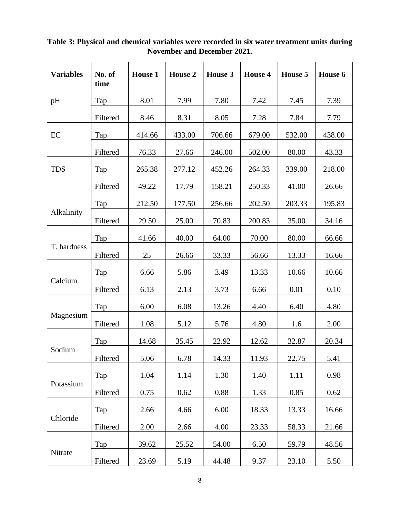| <b>Variables</b> | No. of<br>time | <b>House 1</b> | <b>House 2</b> | House 3 | <b>House 4</b> | House 5 | House 6 |
|------------------|----------------|----------------|----------------|---------|----------------|---------|---------|
| pH               | Tap            | 8.01           | 7.99           | 7.80    | 7.42           | 7.45    | 7.39    |
|                  | Filtered       | 8.46           | 8.31           | 8.05    | 7.28           | 7.84    | 7.79    |
| EC               | Tap            | 414.66         | 433.00         | 706.66  | 679.00         | 532.00  | 438.00  |
|                  | Filtered       | 76.33          | 27.66          | 246.00  | 502.00         | 80.00   | 43.33   |
| <b>TDS</b>       | Tap            | 265.38         | 277.12         | 452.26  | 264.33         | 339.00  | 218.00  |
|                  | Filtered       | 49.22          | 17.79          | 158.21  | 250.33         | 41.00   | 26.66   |
| Alkalinity       | Tap            | 212.50         | 177.50         | 256.66  | 202.50         | 203.33  | 195.83  |
|                  | Filtered       | 29.50          | 25.00          | 70.83   | 200.83         | 35.00   | 34.16   |
| T. hardness      | Tap            | 41.66          | 40.00          | 64.00   | 70.00          | 80.00   | 66.66   |
|                  | Filtered       | 25             | 26.66          | 33.33   | 56.66          | 13.33   | 16.66   |
| Calcium          | Tap            | 6.66           | 5.86           | 3.49    | 13.33          | 10.66   | 10.66   |
|                  | Filtered       | 6.13           | 2.13           | 3.73    | 6.66           | 0.01    | 0.10    |
| Magnesium        | Tap            | 6.00           | 6.08           | 13.26   | 4.40           | 6.40    | 4.80    |
|                  | Filtered       | 1.08           | 5.12           | 5.76    | 4.80           | 1.6     | 2.00    |
| Sodium           | Tap            | 14.68          | 35.45          | 22.92   | 12.62          | 32.87   | 20.34   |
|                  | Filtered       | 5.06           | 6.78           | 14.33   | 11.93          | 22.75   | 5.41    |
| Potassium        | Tap            | 1.04           | 1.14           | 1.30    | 1.40           | 1.11    | 0.98    |
|                  | Filtered       | 0.75           | 0.62           | 0.88    | 1.33           | 0.85    | 0.62    |
| Chloride         | Tap            | 2.66           | 4.66           | 6.00    | 18.33          | 13.33   | 16.66   |
|                  | Filtered       | 2.00           | 2.66           | 4.00    | 23.33          | 58.33   | 21.66   |
| Nitrate          | Tap            | 39.62          | 25.52          | 54.00   | 6.50           | 59.79   | 48.56   |
|                  | Filtered       | 23.69          | 5.19           | 44.48   | 9.37           | 23.10   | 5.50    |

# **Table 3: Physical and chemical variables were recorded in six water treatment units during November and December 2021.**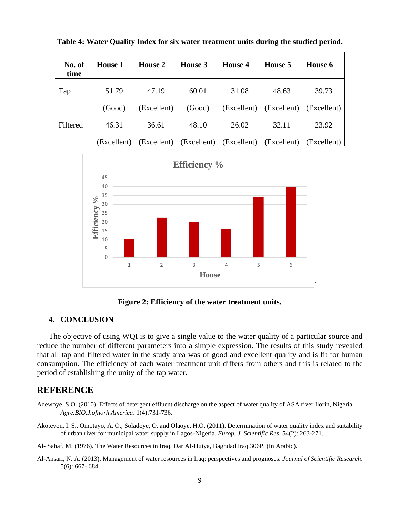| No. of<br>time | <b>House 1</b> | <b>House 2</b> | House 3     | House 4     | House 5    | House 6    |
|----------------|----------------|----------------|-------------|-------------|------------|------------|
| Tap            | 51.79          | 47.19          | 60.01       | 31.08       | 48.63      | 39.73      |
|                | (Good)         | (Excellent)    | (Good)      | Excellent)  | Excellent) | Excellent) |
| Filtered       | 46.31          | 36.61          | 48.10       | 26.02       | 32.11      | 23.92      |
|                | (Excellent)    | (Excellent)    | (Excellent) | (Excellent) | Excellent) | Excellent) |

**Table 4: Water Quality Index for six water treatment units during the studied period.**



**Figure 2: Efficiency of the water treatment units.**

# **4. CONCLUSION**

The objective of using WQI is to give a single value to the water quality of a particular source and reduce the number of different parameters into a simple expression. The results of this study revealed that all tap and filtered water in the study area was of good and excellent quality and is fit for human consumption. The efficiency of each water treatment unit differs from others and this is related to the period of establishing the unity of the tap water.

# **REFERENCE**

- Adewoye, S.O. (2010). Effects of detergent effluent discharge on the aspect of water quality of ASA river Ilorin, Nigeria. *Agre.BIO.J.ofnorh America*. 1(4):731-736.
- Akoteyon, I. S., Omotayo, A. O., Soladoye, O. and Olaoye, H.O. (2011). Determination of water quality index and suitability of urban river for municipal water supply in Lagos-Nigeria. *Europ. J. Scientific Res,* 54(2): 263-271.

Al- Sahaf, M. (1976). The Water Resources in Iraq. Dar Al-Huiya, Baghdad.Iraq.306P. (In Arabic).

Al-Ansari, N. A. (2013). Management of water resources in Iraq: perspectives and prognoses. *Journal of Scientific Research*. 5(6): 667- 684.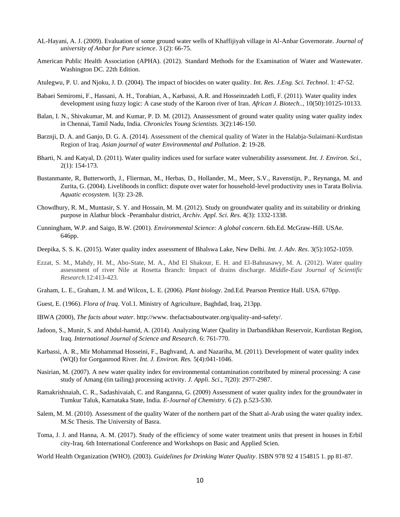- AL-Hayani, A. J. (2009). Evaluation of some ground water wells of Khaffijiyah village in Al-Anbar Governorate. *Journal of university of Anbar for Pure science*. 3 (2): 66-75.
- American Public Health Association (APHA). (2012). Standard Methods for the Examination of Water and Wastewater. Washington DC. 22th Edition.
- Atulegwu, P. U. and Njoku, J. D. (2004). The impact of biocides on water quality. *Int. Res. J.Eng. Sci. Technol*. 1: 47-52.
- Babaei Semiromi, F., Hassani, A. H., Torabian, A., Karbassi, A.R. and Hosseinzadeh Lotfi, F. (2011). Water quality index development using fuzzy logic: A case study of the Karoon river of Iran. *African J. Biotech..,* 10(50):10125-10133.
- Balan, I. N., Shivakumar, M. and Kumar, P. D. M. (2012). Anassessment of ground water quality using water quality index in Chennai, Tamil Nadu, India. *Chronicles Young Scientists*. 3(2):146-150.
- Barznji, D. A. and Ganjo, D. G. A. (2014). Assessment of the chemical quality of Water in the Halabja-Sulaimani-Kurdistan Region of Iraq. *Asian journal of water Environmental and Pollution*. **2**: 19-28.
- Bharti, N. and Katyal, D. (2011). Water quality indices used for surface water vulnerability assessment. *Int. J. Environ. Sci.,*  2(1): 154-173.
- Bustanmante, R, Butterworth, J., Flierman, M., Herbas, D., Hollander, M., Meer, S.V., Ravenstijn, P., Reynanga, M. and Zurita, G. (2004). Livelihoods in conflict: dispute over water for household-level productivity uses in Tarata Bolivia. *Aquatic ecosystem*. 1(3): 23-28.
- Chowdhury, R. M., Muntasir, S. Y. and Hossain, M. M. (2012). Study on groundwater quality and its suitability or drinking purpose in Alathur block -Perambalur district, *Archiv. Appl. Sci. Res.* 4(3): 1332-1338.
- Cunningham, W.P. and Saigo, B.W. (2001). *Environmental Science: A global concern*. 6th.Ed. McGraw-Hill. USAe. 646pp.
- Deepika, S. S. K. (2015). Water quality index assessment of Bhalswa Lake, New Delhi. *Int. J. Adv. Res*. 3(5):1052-1059.
- Ezzat, S. M., Mahdy, H. M., Abo-State, M. A., Abd El Shakour, E. H. and El-Bahnasawy, M. A. (2012). Water quality assessment of river Nile at Rosetta Branch: Impact of drains discharge. *Middle-East Journal of Scientific Research*.12:413-423.
- Graham, L. E., Graham, J. M. and Wilcox, L. E. (2006). *Plant biology*. 2nd.Ed. Pearson Prentice Hall. USA. 670pp.
- Guest, E. (1966). *Flora of Iraq*. Vol.1. Ministry of Agriculture, Baghdad, Iraq, 213pp.
- IBWA (2000), *The facts about water*. http://www. thefactsaboutwater.org/quality-and-safety/.
- Jadoon, S., Munir, S. and Abdul-hamid, A. (2014). Analyzing Water Quality in Darbandikhan Reservoir, Kurdistan Region, Iraq. *International Journal of Science and Research*. 6: 761-770.
- Karbassi, A. R., Mir Mohammad Hosseini, F., Baghvand, A. and Nazariha, M. (2011). Development of water quality index (WQI) for Gorganrood River. *Int. J. Environ. Res.* 5(4):041-1046.
- Nasirian, M. (2007). A new water quality index for environmental contamination contributed by mineral processing: A case study of Amang (tin tailing) processing activity. *J. Appli. Sci.,* 7(20): 2977-2987.
- Ramakrishnaiah, C. R., Sadashivaiah, C. and Ranganna, G. (2009) Assessment of water quality index for the groundwater in Tumkur Taluk, Karnataka State, India. *E-Journal of Chemistry*. 6 (2). p.523-530.
- Salem, M. M. (2010). Assessment of the quality Water of the northern part of the Shatt al-Arab using the water quality index. M.Sc Thesis. The University of Basra.
- Toma, J. J. and Hanna, A. M. (2017). Study of the efficiency of some water treatment units that present in houses in Erbil city-Iraq. 6th International Conference and Workshops on Basic and Applied Scien.
- World Health Organization (WHO). (2003). *Guidelines for Drinking Water Quality*. ISBN 978 92 4 154815 1. pp 81-87.